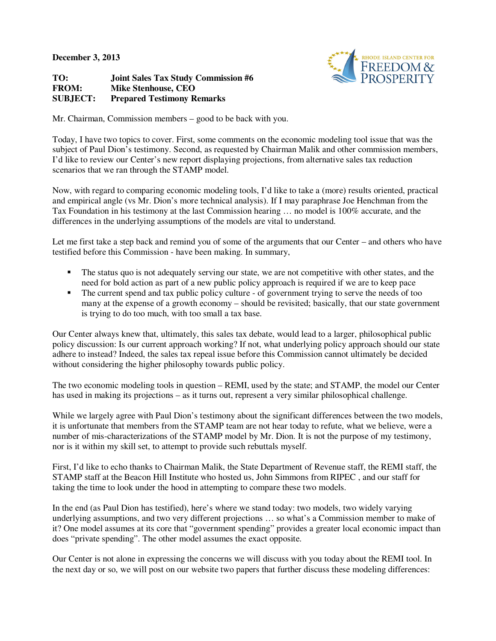**December 3, 2013** 

**TO: Joint Sales Tax Study Commission #6 FROM: Mike Stenhouse, CEO SUBJECT: Prepared Testimony Remarks** 



Mr. Chairman, Commission members – good to be back with you.

Today, I have two topics to cover. First, some comments on the economic modeling tool issue that was the subject of Paul Dion's testimony. Second, as requested by Chairman Malik and other commission members, I'd like to review our Center's new report displaying projections, from alternative sales tax reduction scenarios that we ran through the STAMP model.

Now, with regard to comparing economic modeling tools, I'd like to take a (more) results oriented, practical and empirical angle (vs Mr. Dion's more technical analysis). If I may paraphrase Joe Henchman from the Tax Foundation in his testimony at the last Commission hearing … no model is 100% accurate, and the differences in the underlying assumptions of the models are vital to understand.

Let me first take a step back and remind you of some of the arguments that our Center – and others who have testified before this Commission - have been making. In summary,

- The status quo is not adequately serving our state, we are not competitive with other states, and the need for bold action as part of a new public policy approach is required if we are to keep pace
- The current spend and tax public policy culture of government trying to serve the needs of too many at the expense of a growth economy – should be revisited; basically, that our state government is trying to do too much, with too small a tax base.

Our Center always knew that, ultimately, this sales tax debate, would lead to a larger, philosophical public policy discussion: Is our current approach working? If not, what underlying policy approach should our state adhere to instead? Indeed, the sales tax repeal issue before this Commission cannot ultimately be decided without considering the higher philosophy towards public policy.

The two economic modeling tools in question – REMI, used by the state; and STAMP, the model our Center has used in making its projections – as it turns out, represent a very similar philosophical challenge.

While we largely agree with Paul Dion's testimony about the significant differences between the two models, it is unfortunate that members from the STAMP team are not hear today to refute, what we believe, were a number of mis-characterizations of the STAMP model by Mr. Dion. It is not the purpose of my testimony, nor is it within my skill set, to attempt to provide such rebuttals myself.

First, I'd like to echo thanks to Chairman Malik, the State Department of Revenue staff, the REMI staff, the STAMP staff at the Beacon Hill Institute who hosted us, John Simmons from RIPEC , and our staff for taking the time to look under the hood in attempting to compare these two models.

In the end (as Paul Dion has testified), here's where we stand today: two models, two widely varying underlying assumptions, and two very different projections … so what's a Commission member to make of it? One model assumes at its core that "government spending" provides a greater local economic impact than does "private spending". The other model assumes the exact opposite.

Our Center is not alone in expressing the concerns we will discuss with you today about the REMI tool. In the next day or so, we will post on our website two papers that further discuss these modeling differences: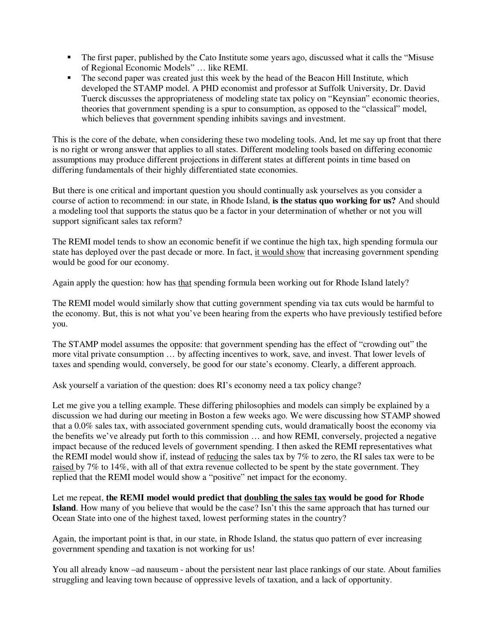- The first paper, published by the Cato Institute some years ago, discussed what it calls the "Misuse of Regional Economic Models" … like REMI.
- The second paper was created just this week by the head of the Beacon Hill Institute, which developed the STAMP model. A PHD economist and professor at Suffolk University, Dr. David Tuerck discusses the appropriateness of modeling state tax policy on "Keynsian" economic theories, theories that government spending is a spur to consumption, as opposed to the "classical" model, which believes that government spending inhibits savings and investment.

This is the core of the debate, when considering these two modeling tools. And, let me say up front that there is no right or wrong answer that applies to all states. Different modeling tools based on differing economic assumptions may produce different projections in different states at different points in time based on differing fundamentals of their highly differentiated state economies.

But there is one critical and important question you should continually ask yourselves as you consider a course of action to recommend: in our state, in Rhode Island, **is the status quo working for us?** And should a modeling tool that supports the status quo be a factor in your determination of whether or not you will support significant sales tax reform?

The REMI model tends to show an economic benefit if we continue the high tax, high spending formula our state has deployed over the past decade or more. In fact, it would show that increasing government spending would be good for our economy.

Again apply the question: how has that spending formula been working out for Rhode Island lately?

The REMI model would similarly show that cutting government spending via tax cuts would be harmful to the economy. But, this is not what you've been hearing from the experts who have previously testified before you.

The STAMP model assumes the opposite: that government spending has the effect of "crowding out" the more vital private consumption … by affecting incentives to work, save, and invest. That lower levels of taxes and spending would, conversely, be good for our state's economy. Clearly, a different approach.

Ask yourself a variation of the question: does RI's economy need a tax policy change?

Let me give you a telling example. These differing philosophies and models can simply be explained by a discussion we had during our meeting in Boston a few weeks ago. We were discussing how STAMP showed that a 0.0% sales tax, with associated government spending cuts, would dramatically boost the economy via the benefits we've already put forth to this commission … and how REMI, conversely, projected a negative impact because of the reduced levels of government spending. I then asked the REMI representatives what the REMI model would show if, instead of reducing the sales tax by 7% to zero, the RI sales tax were to be raised by 7% to 14%, with all of that extra revenue collected to be spent by the state government. They replied that the REMI model would show a "positive" net impact for the economy.

Let me repeat, **the REMI model would predict that doubling the sales tax would be good for Rhode**  Island. How many of you believe that would be the case? Isn't this the same approach that has turned our Ocean State into one of the highest taxed, lowest performing states in the country?

Again, the important point is that, in our state, in Rhode Island, the status quo pattern of ever increasing government spending and taxation is not working for us!

You all already know –ad nauseum - about the persistent near last place rankings of our state. About families struggling and leaving town because of oppressive levels of taxation, and a lack of opportunity.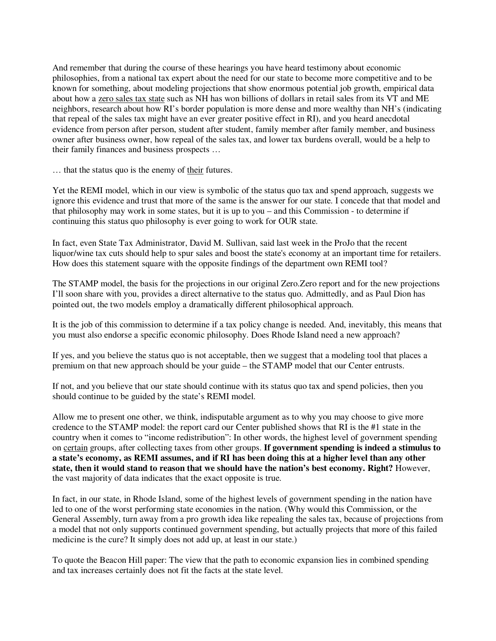And remember that during the course of these hearings you have heard testimony about economic philosophies, from a national tax expert about the need for our state to become more competitive and to be known for something, about modeling projections that show enormous potential job growth, empirical data about how a zero sales tax state such as NH has won billions of dollars in retail sales from its VT and ME neighbors, research about how RI's border population is more dense and more wealthy than NH's (indicating that repeal of the sales tax might have an ever greater positive effect in RI), and you heard anecdotal evidence from person after person, student after student, family member after family member, and business owner after business owner, how repeal of the sales tax, and lower tax burdens overall, would be a help to their family finances and business prospects …

… that the status quo is the enemy of their futures.

Yet the REMI model, which in our view is symbolic of the status quo tax and spend approach, suggests we ignore this evidence and trust that more of the same is the answer for our state. I concede that that model and that philosophy may work in some states, but it is up to you – and this Commission - to determine if continuing this status quo philosophy is ever going to work for OUR state.

In fact, even State Tax Administrator, David M. Sullivan, said last week in the ProJo that the recent liquor/wine tax cuts should help to spur sales and boost the state's economy at an important time for retailers. How does this statement square with the opposite findings of the department own REMI tool?

The STAMP model, the basis for the projections in our original Zero.Zero report and for the new projections I'll soon share with you, provides a direct alternative to the status quo. Admittedly, and as Paul Dion has pointed out, the two models employ a dramatically different philosophical approach.

It is the job of this commission to determine if a tax policy change is needed. And, inevitably, this means that you must also endorse a specific economic philosophy. Does Rhode Island need a new approach?

If yes, and you believe the status quo is not acceptable, then we suggest that a modeling tool that places a premium on that new approach should be your guide – the STAMP model that our Center entrusts.

If not, and you believe that our state should continue with its status quo tax and spend policies, then you should continue to be guided by the state's REMI model.

Allow me to present one other, we think, indisputable argument as to why you may choose to give more credence to the STAMP model: the report card our Center published shows that RI is the #1 state in the country when it comes to "income redistribution": In other words, the highest level of government spending on certain groups, after collecting taxes from other groups. **If government spending is indeed a stimulus to a state's economy, as REMI assumes, and if RI has been doing this at a higher level than any other state, then it would stand to reason that we should have the nation's best economy. Right?** However, the vast majority of data indicates that the exact opposite is true.

In fact, in our state, in Rhode Island, some of the highest levels of government spending in the nation have led to one of the worst performing state economies in the nation. (Why would this Commission, or the General Assembly, turn away from a pro growth idea like repealing the sales tax, because of projections from a model that not only supports continued government spending, but actually projects that more of this failed medicine is the cure? It simply does not add up, at least in our state.)

To quote the Beacon Hill paper: The view that the path to economic expansion lies in combined spending and tax increases certainly does not fit the facts at the state level.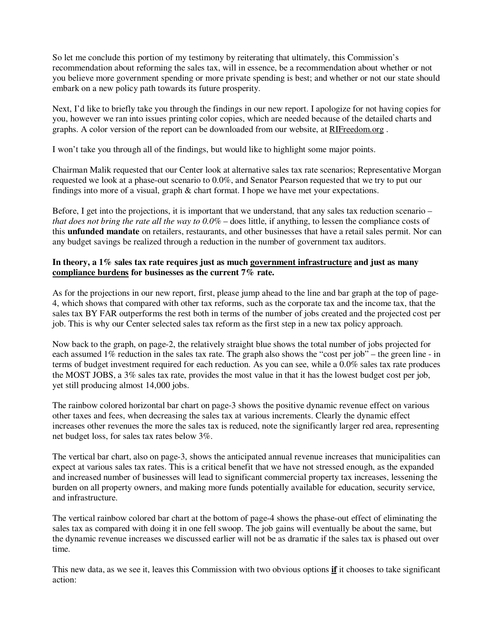So let me conclude this portion of my testimony by reiterating that ultimately, this Commission's recommendation about reforming the sales tax, will in essence, be a recommendation about whether or not you believe more government spending or more private spending is best; and whether or not our state should embark on a new policy path towards its future prosperity.

Next, I'd like to briefly take you through the findings in our new report. I apologize for not having copies for you, however we ran into issues printing color copies, which are needed because of the detailed charts and graphs. A color version of the report can be downloaded from our website, at RIFreedom.org .

I won't take you through all of the findings, but would like to highlight some major points.

Chairman Malik requested that our Center look at alternative sales tax rate scenarios; Representative Morgan requested we look at a phase-out scenario to 0.0%, and Senator Pearson requested that we try to put our findings into more of a visual, graph & chart format. I hope we have met your expectations.

Before, I get into the projections, it is important that we understand, that any sales tax reduction scenario – *that does not bring the rate all the way to 0.0%* – does little, if anything, to lessen the compliance costs of this **unfunded mandate** on retailers, restaurants, and other businesses that have a retail sales permit. Nor can any budget savings be realized through a reduction in the number of government tax auditors.

## **In theory, a 1% sales tax rate requires just as much government infrastructure and just as many compliance burdens for businesses as the current 7% rate.**

As for the projections in our new report, first, please jump ahead to the line and bar graph at the top of page-4, which shows that compared with other tax reforms, such as the corporate tax and the income tax, that the sales tax BY FAR outperforms the rest both in terms of the number of jobs created and the projected cost per job. This is why our Center selected sales tax reform as the first step in a new tax policy approach.

Now back to the graph, on page-2, the relatively straight blue shows the total number of jobs projected for each assumed 1% reduction in the sales tax rate. The graph also shows the "cost per job" – the green line - in terms of budget investment required for each reduction. As you can see, while a 0.0% sales tax rate produces the MOST JOBS, a 3% sales tax rate, provides the most value in that it has the lowest budget cost per job, yet still producing almost 14,000 jobs.

The rainbow colored horizontal bar chart on page-3 shows the positive dynamic revenue effect on various other taxes and fees, when decreasing the sales tax at various increments. Clearly the dynamic effect increases other revenues the more the sales tax is reduced, note the significantly larger red area, representing net budget loss, for sales tax rates below 3%.

The vertical bar chart, also on page-3, shows the anticipated annual revenue increases that municipalities can expect at various sales tax rates. This is a critical benefit that we have not stressed enough, as the expanded and increased number of businesses will lead to significant commercial property tax increases, lessening the burden on all property owners, and making more funds potentially available for education, security service, and infrastructure.

The vertical rainbow colored bar chart at the bottom of page-4 shows the phase-out effect of eliminating the sales tax as compared with doing it in one fell swoop. The job gains will eventually be about the same, but the dynamic revenue increases we discussed earlier will not be as dramatic if the sales tax is phased out over time.

This new data, as we see it, leaves this Commission with two obvious options **if** it chooses to take significant action: